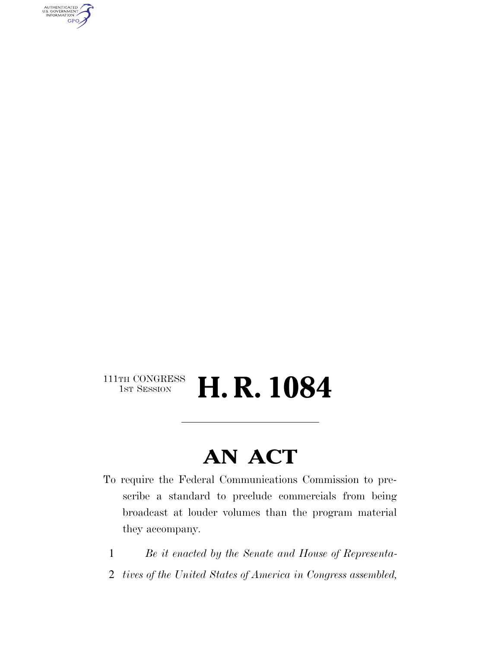AUTHENTICATED<br>U.S. GOVERNMENT<br>INFORMATION **GPO** 

#### $\begin{array}{c} \textbf{111TH CONGRESS} \\ \textbf{1ST SESION} \end{array}$ H. R. 1084

### **AN ACT**

- To require the Federal Communications Commission to prescribe a standard to preclude commercials from being broadcast at louder volumes than the program material they accompany.
	- 1 *Be it enacted by the Senate and House of Representa-*
- 2 *tives of the United States of America in Congress assembled,*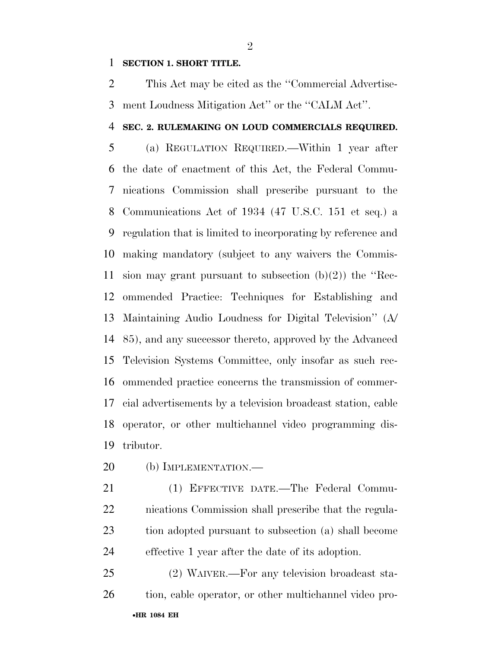#### **SECTION 1. SHORT TITLE.**

 This Act may be cited as the ''Commercial Advertise-ment Loudness Mitigation Act'' or the ''CALM Act''.

#### **SEC. 2. RULEMAKING ON LOUD COMMERCIALS REQUIRED.**

 (a) REGULATION REQUIRED.—Within 1 year after the date of enactment of this Act, the Federal Commu- nications Commission shall prescribe pursuant to the Communications Act of 1934 (47 U.S.C. 151 et seq.) a regulation that is limited to incorporating by reference and making mandatory (subject to any waivers the Commis-11 sion may grant pursuant to subsection  $(b)(2)$  the "Rec- ommended Practice: Techniques for Establishing and Maintaining Audio Loudness for Digital Television'' (A/ 85), and any successor thereto, approved by the Advanced Television Systems Committee, only insofar as such rec- ommended practice concerns the transmission of commer- cial advertisements by a television broadcast station, cable operator, or other multichannel video programming dis-tributor.

- 20 (b) IMPLEMENTATION.—
- (1) EFFECTIVE DATE.—The Federal Commu- nications Commission shall prescribe that the regula- tion adopted pursuant to subsection (a) shall become effective 1 year after the date of its adoption.

•**HR 1084 EH** (2) WAIVER.—For any television broadcast sta-26 tion, cable operator, or other multichannel video pro-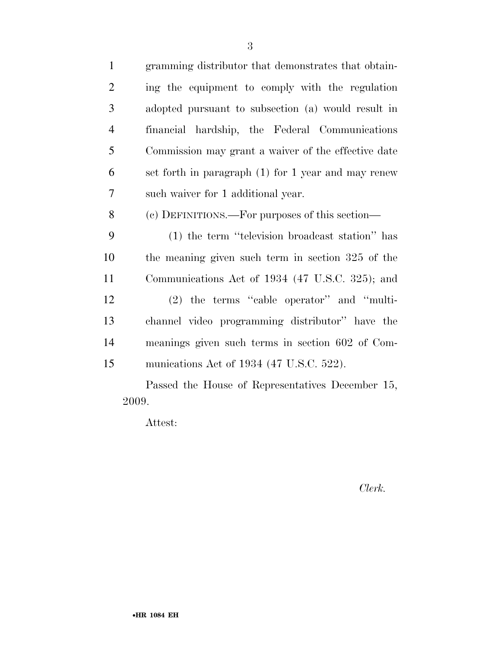| $\mathbf{1}$   | gramming distributor that demonstrates that obtain- |
|----------------|-----------------------------------------------------|
| $\overline{2}$ | ing the equipment to comply with the regulation     |
| 3              | adopted pursuant to subsection (a) would result in  |
| $\overline{4}$ | financial hardship, the Federal Communications      |
| 5              | Commission may grant a waiver of the effective date |
| 6              | set forth in paragraph (1) for 1 year and may renew |
| 7              | such waiver for 1 additional year.                  |
| 8              | (c) DEFINITIONS.—For purposes of this section—      |
| 9              | (1) the term "television broadcast station" has     |
| 10             | the meaning given such term in section 325 of the   |
| 11             | Communications Act of 1934 (47 U.S.C. 325); and     |
| 12             | $(2)$ the terms "cable operator" and "multi-        |
| 13             | channel video programming distributor" have the     |
| 14             | meanings given such terms in section 602 of Com-    |
| 15             | munications Act of 1934 (47 U.S.C. 522).            |
|                | Passed the House of Representatives December 15,    |

Attest:

2009.

*Clerk.*